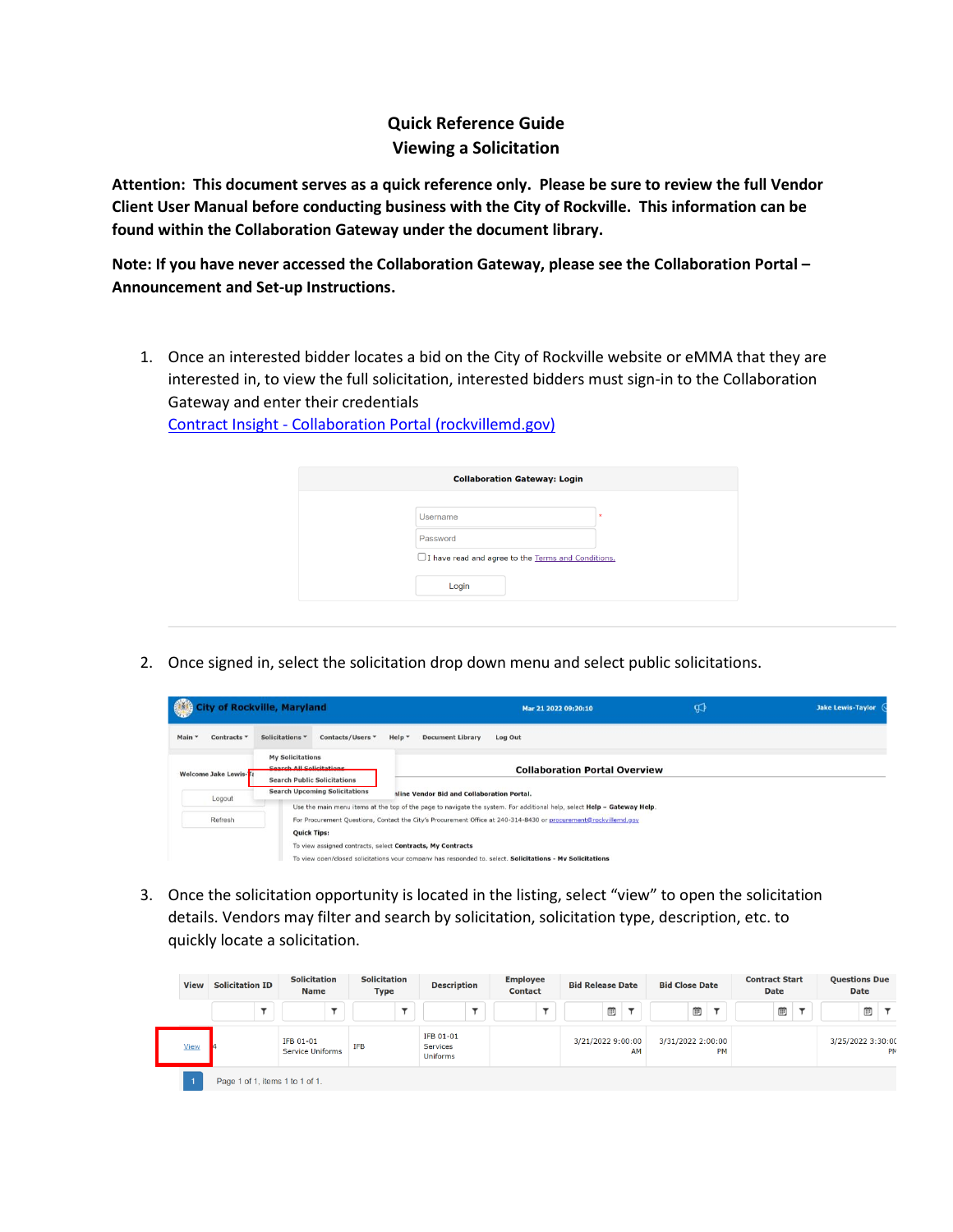## **Quick Reference Guide Viewing a Solicitation**

**Attention: This document serves as a quick reference only. Please be sure to review the full Vendor Client User Manual before conducting business with the City of Rockville. This information can be found within the Collaboration Gateway under the document library.**

**Note: If you have never accessed the Collaboration Gateway, please see the Collaboration Portal – Announcement and Set-up Instructions.**

1. Once an interested bidder locates a bid on the City of Rockville website or eMMA that they are interested in, to view the full solicitation, interested bidders must sign-in to the Collaboration Gateway and enter their credentials

Contract Insight - [Collaboration Portal \(rockvillemd.gov\)](https://contracts.rockvillemd.gov/gateway/Default.aspx)

|          | <b>Collaboration Gateway: Login</b>                  |  |  |  |
|----------|------------------------------------------------------|--|--|--|
|          |                                                      |  |  |  |
| Username | $\mathbf{x}$                                         |  |  |  |
| Password |                                                      |  |  |  |
|          | □ I have read and agree to the Terms and Conditions. |  |  |  |
| Login    |                                                      |  |  |  |

2. Once signed in, select the solicitation drop down menu and select public solicitations.

| <b>City of Rockville, Maryland</b>                                                                                                                                                                                                                                                                                          |                                      |                                            | Mar 21 2022 09:20:10                                                                                                    | ଭ | <b>Jake Lewis-Taylor</b> |
|-----------------------------------------------------------------------------------------------------------------------------------------------------------------------------------------------------------------------------------------------------------------------------------------------------------------------------|--------------------------------------|--------------------------------------------|-------------------------------------------------------------------------------------------------------------------------|---|--------------------------|
| Contracts *<br>Main *                                                                                                                                                                                                                                                                                                       | Solicitations *<br>Contacts/Users *  | Help *<br><b>Document Library</b>          | Log Out                                                                                                                 |   |                          |
| <b>My Solicitations</b><br>Search All Solicitations<br><b>Welcome Jake Lewis-Ta</b><br><b>Search Public Solicitations</b>                                                                                                                                                                                                   |                                      |                                            | <b>Collaboration Portal Overview</b>                                                                                    |   |                          |
| Logout                                                                                                                                                                                                                                                                                                                      | <b>Search Upcoming Solicitations</b> | nline Vendor Bid and Collaboration Portal. | Use the main menu items at the top of the page to navigate the system. For additional help, select Help - Gateway Help. |   |                          |
| Refresh<br>For Procurement Questions, Contact the City's Procurement Office at 240-314-8430 or procurement@rockvillemd.gov<br><b>Quick Tips:</b><br>To view assigned contracts, select Contracts, My Contracts<br>To view open/closed solicitations your company has responded to, select. Solicitations - My Solicitations |                                      |                                            |                                                                                                                         |   |                          |

3. Once the solicitation opportunity is located in the listing, select "view" to open the solicitation details. Vendors may filter and search by solicitation, solicitation type, description, etc. to quickly locate a solicitation.

| <b>View</b> | <b>Solicitation ID</b>          | <b>Solicitation</b><br><b>Name</b> | <b>Solicitation</b><br>Type | <b>Description</b>                       | <b>Employee</b><br><b>Contact</b> | <b>Bid Release Date</b> | <b>Bid Close Date</b>   | <b>Contract Start</b><br><b>Date</b> | <b>Questions Due</b><br>Date |
|-------------|---------------------------------|------------------------------------|-----------------------------|------------------------------------------|-----------------------------------|-------------------------|-------------------------|--------------------------------------|------------------------------|
|             |                                 |                                    |                             |                                          |                                   | Ë                       | ⊞                       | 曲                                    | ▥                            |
| <b>View</b> |                                 | IFB 01-01<br>Service Uniforms      | <b>IFB</b>                  | IFB 01-01<br><b>Services</b><br>Uniforms |                                   | 3/21/2022 9:00:00<br>AM | 3/31/2022 2:00:00<br>PM |                                      | 3/25/2022 3:30:0<br>PI       |
|             | Page 1 of 1, items 1 to 1 of 1. |                                    |                             |                                          |                                   |                         |                         |                                      |                              |